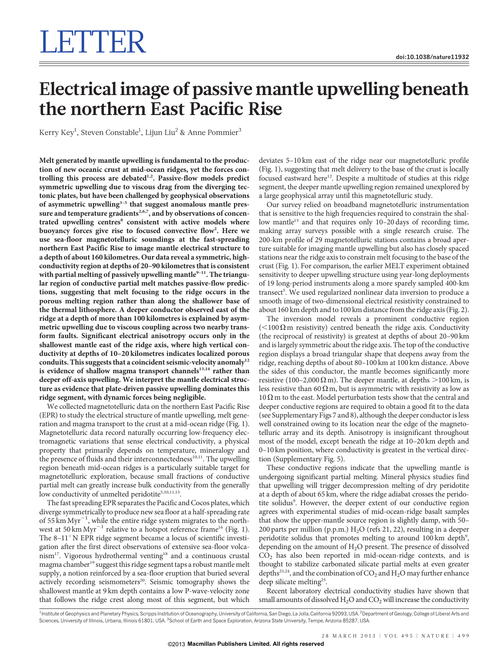# LETTER

## Electrical image of passive mantle upwelling beneath the northern East Pacific Rise

Kerry Key<sup>1</sup>, Steven Constable<sup>1</sup>, Lijun Liu<sup>2</sup> & Anne Pommier<sup>3</sup>

Melt generated by mantle upwelling is fundamental to the production of new oceanic crust at mid-ocean ridges, yet the forces controlling this process are debated<sup>1,2</sup>. Passive-flow models predict symmetric upwelling due to viscous drag from the diverging tectonic plates, but have been challenged by geophysical observations of asymmetric upwelling<sup>3-5</sup> that suggest anomalous mantle pressure and temperature gradients<sup>2,6,7</sup>, and by observations of concentrated upwelling centres<sup>8</sup> consistent with active models where buoyancy forces give rise to focused convective flow<sup>2</sup>. Here we use sea-floor magnetotelluric soundings at the fast-spreading northern East Pacific Rise to image mantle electrical structure to a depth of about 160 kilometres. Our data reveal a symmetric, highconductivity region at depths of 20–90 kilometres that is consistent with partial melting of passively upwelling mantle $9-11$ . The triangular region of conductive partial melt matches passive-flow predictions, suggesting that melt focusing to the ridge occurs in the porous melting region rather than along the shallower base of the thermal lithosphere. A deeper conductor observed east of the ridge at a depth of more than 100 kilometres is explained by asymmetric upwelling due to viscous coupling across two nearby transform faults. Significant electrical anisotropy occurs only in the shallowest mantle east of the ridge axis, where high vertical conductivity at depths of 10–20 kilometres indicates localized porous conduits. This suggests that a coincident seismic-velocity anomaly<sup>12</sup> is evidence of shallow magma transport channels<sup>13,14</sup> rather than deeper off-axis upwelling. We interpret the mantle electrical structure as evidence that plate-driven passive upwelling dominates this ridge segment, with dynamic forces being negligible.

We collected magnetotelluric data on the northern East Pacific Rise (EPR) to study the electrical structure of mantle upwelling, melt generation and magma transport to the crust at a mid-ocean ridge (Fig. 1). Magnetotelluric data record naturally occurring low-frequency electromagnetic variations that sense electrical conductivity, a physical property that primarily depends on temperature, mineralogy and the presence of fluids and their interconnectedness<sup>10,11</sup>. The upwelling region beneath mid-ocean ridges is a particularly suitable target for magnetotelluric exploration, because small fractions of conductive partial melt can greatly increase bulk conductivity from the generally low conductivity of unmelted peridotite<sup>5,10,11,15</sup>.

The fast spreading EPR separates the Pacific and Cocos plates, which diverge symmetrically to produce new sea floor at a half-spreading rate of 55  $\text{km} \text{Myr}^{-1}$ , while the entire ridge system migrates to the northwest at 50 km Myr $^{-1}$  relative to a hotspot reference frame<sup>16</sup> (Fig. 1). The  $8-11^{\circ}$  N EPR ridge segment became a locus of scientific investigation after the first direct observations of extensive sea-floor volcanism17. Vigorous hydrothermal venting18 and a continuous crustal magma chamber<sup>19</sup> suggest this ridge segment taps a robust mantle melt supply, a notion reinforced by a sea-floor eruption that buried several actively recording seismometers<sup>20</sup>. Seismic tomography shows the shallowest mantle at 9 km depth contains a low P-wave-velocity zone that follows the ridge crest along most of this segment, but which deviates 5–10 km east of the ridge near our magnetotelluric profile (Fig. 1), suggesting that melt delivery to the base of the crust is locally focused eastward here<sup>12</sup>. Despite a multitude of studies at this ridge segment, the deeper mantle upwelling region remained unexplored by a large geophysical array until this magnetotelluric study.

Our survey relied on broadband magnetotelluric instrumentation that is sensitive to the high frequencies required to constrain the shallow mantle<sup>15</sup> and that requires only 10–20 days of recording time, making array surveys possible with a single research cruise. The 200-km profile of 29 magnetotelluric stations contains a broad aperture suitable for imaging mantle upwelling but also has closely spaced stations near the ridge axis to constrain melt focusing to the base of the crust (Fig. 1). For comparison, the earlier MELT experiment obtained sensitivity to deeper upwelling structure using year-long deployments of 19 long-period instruments along a more sparely sampled 400-km transect<sup>5</sup>. We used regularized nonlinear data inversion to produce a smooth image of two-dimensional electrical resistivity constrained to about 160 km depth and to 100 km distance from the ridge axis (Fig. 2).

The inversion model reveals a prominent conductive region  $(<100 \Omega$  m resistivity) centred beneath the ridge axis. Conductivity (the reciprocal of resistivity) is greatest at depths of about 20–90 km and is largely symmetric about the ridge axis. The top of the conductive region displays a broad triangular shape that deepens away from the ridge, reaching depths of about 80–100 km at 100 km distance. Above the sides of this conductor, the mantle becomes significantly more resistive (100–2,000  $\Omega$  m). The deeper mantle, at depths  $>$ 100 km, is less resistive than 60  $\Omega$  m, but is asymmetric with resistivity as low as  $10 \Omega$  m to the east. Model perturbation tests show that the central and deeper conductive regions are required to obtain a good fit to the data (see Supplementary Figs 7 and 8), although the deeper conductor is less well constrained owing to its location near the edge of the magnetotelluric array and its depth. Anisotropy is insignificant throughout most of the model, except beneath the ridge at 10–20 km depth and 0–10 km position, where conductivity is greatest in the vertical direction (Supplementary Fig. 5).

These conductive regions indicate that the upwelling mantle is undergoing significant partial melting. Mineral physics studies find that upwelling will trigger decompression melting of dry peridotite at a depth of about 65 km, where the ridge adiabat crosses the peridotite solidus<sup>9</sup>. However, the deeper extent of our conductive region agrees with experimental studies of mid-ocean-ridge basalt samples that show the upper-mantle source region is slightly damp, with 50– 200 parts per million (p.p.m.)  $H_2O$  (refs 21, 22), resulting in a deeper peridotite solidus that promotes melting to around 100 km depth<sup>9</sup>, depending on the amount of  $H_2O$  present. The presence of dissolved  $CO<sub>2</sub>$  has also been reported in mid-ocean-ridge contexts, and is thought to stabilize carbonated silicate partial melts at even greater depths<sup>23,24</sup>, and the combination of  $CO_2$  and  $H_2O$  may further enhance deep silicate melting<sup>25</sup>.

Recent laboratory electrical conductivity studies have shown that small amounts of dissolved  $H_2O$  and  $CO_2$  will increase the conductivity

<sup>&</sup>lt;sup>1</sup>Institute of Geophysics and Planetary Physics, Scripps Institution of Oceanography, University of California, San Diego, La Jolla, California 92093, USA. <sup>2</sup>Department of Geology, College of Liberal Arts and Sciences, University of Illinois, Urbana, Illinois 61801, USA. <sup>3</sup>School of Earth and Space Exploration, Arizona State University, Tempe, Arizona 85287, USA.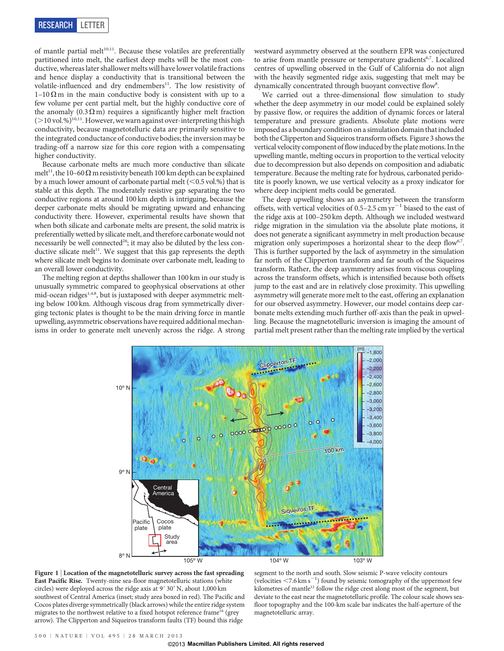of mantle partial melt $10,11$ . Because these volatiles are preferentially partitioned into melt, the earliest deep melts will be the most conductive, whereas later shallower melts will have lower volatile fractions and hence display a conductivity that is transitional between the volatile-influenced and dry endmembers<sup>11</sup>. The low resistivity of  $1-10 \Omega$  m in the main conductive body is consistent with up to a few volume per cent partial melt, but the highly conductive core of the anomaly  $(0.3 \Omega \text{ m})$  requires a significantly higher melt fraction  $(> \! 10 \, \mathrm{vol.} \%)^{10,11}.$  However, we warn against over-interpreting this high conductivity, because magnetotelluric data are primarily sensitive to the integrated conductance of conductive bodies; the inversion may be trading-off a narrow size for this core region with a compensating higher conductivity.

Because carbonate melts are much more conductive than silicate melt<sup>11</sup>, the 10–60  $\Omega$  m resistivity beneath 100 km depth can be explained by a much lower amount of carbonate partial melt  $(<0.5$  vol.%) that is stable at this depth. The moderately resistive gap separating the two conductive regions at around 100 km depth is intriguing, because the deeper carbonate melts should be migrating upward and enhancing conductivity there. However, experimental results have shown that when both silicate and carbonate melts are present, the solid matrix is preferentially wetted by silicate melt, and therefore carbonate would not necessarily be well connected<sup>26</sup>; it may also be diluted by the less conductive silicate melt $11$ . We suggest that this gap represents the depth where silicate melt begins to dominate over carbonate melt, leading to an overall lower conductivity.

The melting region at depths shallower than 100 km in our study is unusually symmetric compared to geophysical observations at other mid-ocean ridges<sup>1,4,8</sup>, but is juxtaposed with deeper asymmetric melting below 100 km. Although viscous drag from symmetrically diverging tectonic plates is thought to be the main driving force in mantle upwelling, asymmetric observations have required additional mechanisms in order to generate melt unevenly across the ridge. A strong westward asymmetry observed at the southern EPR was conjectured to arise from mantle pressure or temperature gradients<sup>6,7</sup>. Localized centres of upwelling observed in the Gulf of California do not align with the heavily segmented ridge axis, suggesting that melt may be dynamically concentrated through buoyant convective flow<sup>8</sup>.

We carried out a three-dimensional flow simulation to study whether the deep asymmetry in our model could be explained solely by passive flow, or requires the addition of dynamic forces or lateral temperature and pressure gradients. Absolute plate motions were imposed as a boundary condition on a simulation domain that included both the Clipperton and Siqueiros transform offsets. Figure 3 shows the vertical velocity component offlow induced by the plate motions. In the upwelling mantle, melting occurs in proportion to the vertical velocity due to decompression but also depends on composition and adiabatic temperature. Because the melting rate for hydrous, carbonated peridotite is poorly known, we use vertical velocity as a proxy indicator for where deep incipient melts could be generated.

The deep upwelling shows an asymmetry between the transform offsets, with vertical velocities of  $0.5-2.5$  cm yr<sup>-1</sup> biased to the east of the ridge axis at 100–250 km depth. Although we included westward ridge migration in the simulation via the absolute plate motions, it does not generate a significant asymmetry in melt production because migration only superimposes a horizontal shear to the deep flow<sup>6,7</sup>. This is further supported by the lack of asymmetry in the simulation far north of the Clipperton transform and far south of the Siqueiros transform. Rather, the deep asymmetry arises from viscous coupling across the transform offsets, which is intensified because both offsets jump to the east and are in relatively close proximity. This upwelling asymmetry will generate more melt to the east, offering an explanation for our observed asymmetry. However, our model contains deep carbonate melts extending much further off-axis than the peak in upwelling. Because the magnetotelluric inversion is imaging the amount of partial melt present rather than the melting rate implied by the vertical





segment to the north and south. Slow seismic P-wave velocity contours (velocities  $\leq$  7.6 km s<sup>-1</sup>) found by seismic tomography of the uppermost few kilometres of mantle<sup>12</sup> follow the ridge crest along most of the segment, but deviate to the east near the magnetotelluric profile. The colour scale shows seafloor topography and the 100-km scale bar indicates the half-aperture of the magnetotelluric array.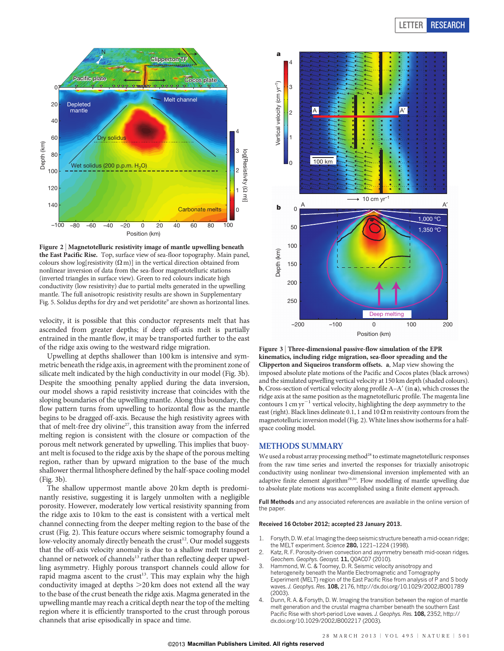

Figure 2 <sup>|</sup> Magnetotelluric resistivity image of mantle upwelling beneath the East Pacific Rise. Top, surface view of sea-floor topography. Main panel, colours show log[resistivity  $(\Omega m)$ ] in the vertical direction obtained from nonlinear inversion of data from the sea-floor magnetotelluric stations (inverted triangles in surface view). Green to red colours indicate high conductivity (low resistivity) due to partial melts generated in the upwelling mantle. The full anisotropic resistivity results are shown in Supplementary Fig. 5. Solidus depths for dry and wet peridotite<sup>9</sup> are shown as horizontal lines.

velocity, it is possible that this conductor represents melt that has ascended from greater depths; if deep off-axis melt is partially entrained in the mantle flow, it may be transported further to the east of the ridge axis owing to the westward ridge migration.

Upwelling at depths shallower than 100 km is intensive and symmetric beneath the ridge axis, in agreement with the prominent zone of silicate melt indicated by the high conductivity in our model (Fig. 3b). Despite the smoothing penalty applied during the data inversion, our model shows a rapid resistivity increase that coincides with the sloping boundaries of the upwelling mantle. Along this boundary, the flow pattern turns from upwelling to horizontal flow as the mantle begins to be dragged off-axis. Because the high resistivity agrees with that of melt-free dry olivine<sup>27</sup>, this transition away from the inferred melting region is consistent with the closure or compaction of the porous melt network generated by upwelling. This implies that buoyant melt is focused to the ridge axis by the shape of the porous melting region, rather than by upward migration to the base of the much shallower thermal lithosphere defined by the half-space cooling model (Fig. 3b).

The shallow uppermost mantle above 20 km depth is predominantly resistive, suggesting it is largely unmolten with a negligible porosity. However, moderately low vertical resistivity spanning from the ridge axis to 10 km to the east is consistent with a vertical melt channel connecting from the deeper melting region to the base of the crust (Fig. 2). This feature occurs where seismic tomography found a low-velocity anomaly directly beneath the crust<sup>12</sup>. Our model suggests that the off-axis velocity anomaly is due to a shallow melt transport channel or network of channels<sup>13</sup> rather than reflecting deeper upwelling asymmetry. Highly porous transport channels could allow for rapid magma ascent to the crust<sup>13</sup>. This may explain why the high conductivity imaged at depths  $>20$  km does not extend all the way to the base of the crust beneath the ridge axis. Magma generated in the upwelling mantle may reach a critical depth near the top of the melting region where it is efficiently transported to the crust through porous channels that arise episodically in space and time.



Figure 3 <sup>|</sup> Three-dimensional passive-flow simulation of the EPR kinematics, including ridge migration, sea-floor spreading and the Clipperton and Siqueiros transform offsets. a, Map view showing the imposed absolute plate motions of the Pacific and Cocos plates (black arrows) and the simulated upwelling vertical velocity at 150 km depth (shaded colours). b, Cross-section of vertical velocity along profile A-A' (in a), which crosses the ridge axis at the same position as the magnetotelluric profile. The magenta line contours 1 cm yr $^{-1}$  vertical velocity, highlighting the deep asymmetry to the east (right). Black lines delineate 0.1, 1 and 10  $\Omega$  m resistivity contours from the magnetotelluric inversion model (Fig. 2). White lines show isotherms for a halfspace cooling model.

### METHODS SUMMARY

We used a robust array processing method<sup>28</sup> to estimate magnetotelluric responses from the raw time series and inverted the responses for triaxially anisotropic conductivity using nonlinear two-dimensional inversion implemented with an adaptive finite element algorithm<sup>29,30</sup>. Flow modelling of mantle upwelling due to absolute plate motions was accomplished using a finite element approach.

Full Methods and any associated references are available in the online version of the paper.

#### Received 16 October 2012; accepted 23 January 2013.

- 1. Forsyth, D.W. et al. Imaging the deep seismic structure beneath amid-ocean ridge; the MELT experiment. Science 280, 1221-1224 (1998).
- 2. Katz, R. F. Porosity-driven convection and asymmetry beneath mid-ocean ridges. Geochem. Geophys. Geosyst. 11, Q0AC07 (2010).
- 3. Hammond, W. C. & Toomey, D. R. Seismic velocity anisotropy and heterogeneity beneath the Mantle Electromagnetic and Tomography Experiment (MELT) region of the East Pacific Rise from analysis of P and S body waves. J. Geophys. Res. 108, 2176, http://dx.doi.org/10.1029/2002JB001789 (2003).
- 4. Dunn, R. A. & Forsyth, D. W. Imaging the transition between the region of mantle melt generation and the crustal magma chamber beneath the southern East Pacific Rise with short-period Love waves. J. Geophys. Res. 108, 2352, http:// dx.doi.org/10.1029/2002JB002217 (2003).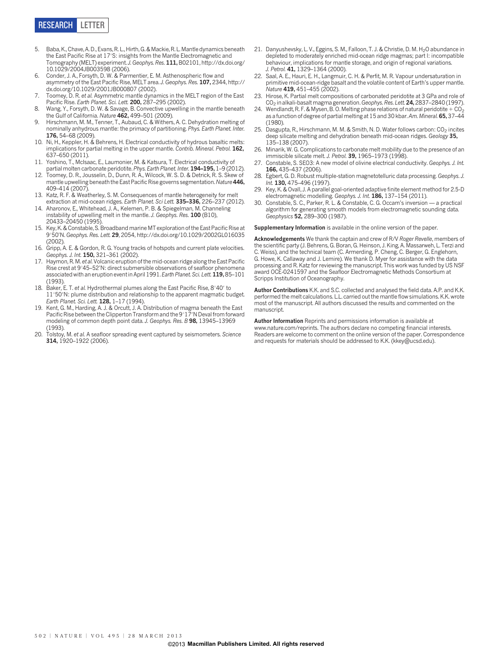

- 5. Baba, K., Chave, A. D., Evans, R. L., Hirth, G. & Mackie, R. L. Mantle dynamics beneath the East Pacific Rise at 17°S: insights from the Mantle Electromagnetic and Tomography (MELT) experiment. J. Geophys. Res. 111, B02101, http://dx.doi.org/ 10.1029/2004JB003598 (2006).
- Conder, J. A., Forsyth, D. W. & Parmentier, E. M. Asthenospheric flow and asymmetry of the East Pacific Rise, MELT area. J. Geophys. Res. 107, 2344, http:// dx.doi.org/10.1029/2001JB000807 (2002).
- 7. Toomey, D. R. et al. Asymmetric mantle dynamics in the MELT region of the East Pacific Rise. Earth Planet. Sci. Lett. **200,** 287-295 (2002).
- 8. Wang, Y., Forsyth, D. W. & Savage, B. Convective upwelling in the mantle beneath the Gulf of California. Nature 462, 499–501 (2009).
- 9. Hirschmann, M. M., Tenner, T., Aubaud, C. & Withers, A. C. Dehydration melting of nominally anhydrous mantle: the primacy of partitioning. Phys. Earth Planet. Inter. 176, 54–68 (2009).
- 10. Ni, H., Keppler, H. & Behrens, H. Electrical conductivity of hydrous basaltic melts: implications for partial melting in the upper mantle. Contrib. Mineral. Petrol. 162, 637–650 (2011).
- 11. Yoshino, T., McIsaac, E., Laumonier, M. & Katsura, T. Electrical conductivity of partial molten carbonate peridotite. Phys. Earth Planet. Inter. 194-195, 1-9 (2012).
- 12. Toomey, D. R., Jousselin, D., Dunn, R. A., Wilcock, W. S. D. & Detrick, R. S. Skew of mantle upwelling beneath the East Pacific Rise governs segmentation. Nature 446, 409–414 (2007).
- 13. Katz, R. F. & Weatherley, S. M. Consequences of mantle heterogeneity for melt extraction at mid-ocean ridges. Earth Planet. Sci Lett. 335-336, 226-237 (2012).
- 14. Aharonov, E., Whitehead, J. A., Kelemen, P. B. & Spiegelman, M. Channeling instability of upwelling melt in the mantle. J. Geophys. Res. 100 (B10), 20433–20450 (1995).
- 15. Key, K. & Constable, S. Broadbandmarine MT exploration of the East Pacific Rise at 9°50'N. Geophys. Res. Lett. 29, 2054, http://dx.doi.org/10.1029/2002GL016035 (2002).
- 16. Gripp, A. E. & Gordon, R. G. Young tracks of hotspots and current plate velocities. Geophys. J. Int. 150, 321-361 (2002).
- 17. Haymon, R. M. et al. Volcanic eruption of the mid-ocean ridge along the East Pacific Rise crest at 9°45–52'N: direct submersible observations of seafloor phenomena associated with an eruption event in April 1991. Earth Planet. Sci. Lett. 119, 85-101 (1993).
- 18. Baker, E. T. et al. Hydrothermal plumes along the East Pacific Rise, 8°40' to 11°50'N: plume distribution and relationship to the apparent magmatic budget. Earth Planet. Sci. Lett. 128, 1-17 (1994).
- 19. Kent, G. M., Harding, A. J. & Orcutt, J. A. Distribution of magma beneath the East Pacific Rise between the Clipperton Transform and the 9°17'N Deval from forward modeling of common depth point data. J. Geophys. Res. B 98, 13945-13969 (1993).
- 20. Tolstoy, M. et al. A seafloor spreading event captured by seismometers. Science 314, 1920–1922 (2006).
- 21. Danyushevsky, L. V., Eggins, S. M., Falloon, T. J. & Christie, D. M. H<sub>2</sub>O abundance in depleted to moderately enriched mid-ocean ridge magmas; part I: incompatible behaviour, implications for mantle storage, and origin of regional variations. J. Petrol. 41, 1329-1364 (2000).
- 22. Saal, A. E., Hauri, E. H., Langmuir, C. H. & Perfit, M. R. Vapour undersaturation in primitive mid-ocean-ridge basalt and the volatile content of Earth's upper mantle. Nature 419, 451-455 (2002).
- 23. Hirose, K. Partial melt compositions of carbonated peridotite at 3 GPa and role of  $CO<sub>2</sub>$  in alkali-basalt magma generation. Geophys. Res. Lett. **24**, 2837–2840 (1997).
- 24. Wendlandt, R. F. & Mysen, B. O. Melting phase relations of natural peridotite  $+$  CO<sub>2</sub> as a function of degree of partial melting at 15 and 30 kbar. Am. Mineral. 65, 37–44 (1980).
- 25. Dasgupta, R., Hirschmann, M. M. & Smith, N. D. Water follows carbon: CO<sub>2</sub> incites deep silicate melting and dehydration beneath mid-ocean ridges. Geology 35, 135–138 (2007).
- 26. Minarik, W. G. Complications to carbonate melt mobility due to the presence of an immiscible silicate melt. J. Petrol. 39, 1965-1973 (1998).
- 27. Constable, S. SEO3: A new model of olivine electrical conductivity. Geophys. J. Int. 166, 435–437 (2006).
- 28. Egbert, G. D. Robust multiple-station magnetotelluric data processing. Geophys. J. Int. 130, 475-496 (1997).
- 29. Key, K. & Ovall, J. A parallel goal-oriented adaptive finite element method for 2.5-D electromagnetic modelling. Geophys. J. Int. 186, 137–154 (2011).
- 30. Constable, S. C., Parker, R. L. & Constable, C. G. Occam's inversion a practical algorithm for generating smooth models from electromagnetic sounding data. Geophysics 52, 289–300 (1987).

Supplementary Information is available in the online version of the paper.

Acknowledgements We thank the captain and crew of R/V Roger Revelle, members of the scientific party (J. Behrens, G. Boran, G. Heinson, J. King, A. Massarweh, L. Terzi and C. Weiss), and the technical team (C. Armerding, P. Cheng, C. Berger, G. Englehorn, G. Howe, K. Callaway and J. Lemire). We thank D. Myer for assistance with the data processing and R. Katz for reviewing the manuscript. This work was funded by US NSF award OCE-0241597 and the Seafloor Electromagnetic Methods Consortium at Scripps Institution of Oceanography.

Author Contributions K.K. and S.C. collected and analysed the field data. A.P. and K.K. performed the melt calculations. L.L. carried out the mantle flow simulations. K.K. wrote most of the manuscript. All authors discussed the results and commented on the manuscript.

Author Information Reprints and permissions information is available at www.nature.com/reprints. The authors declare no competing financial interests. Readers are welcome to comment on the online version of the paper. Correspondence and requests for materials should be addressed to K.K. (kkey@ucsd.edu).